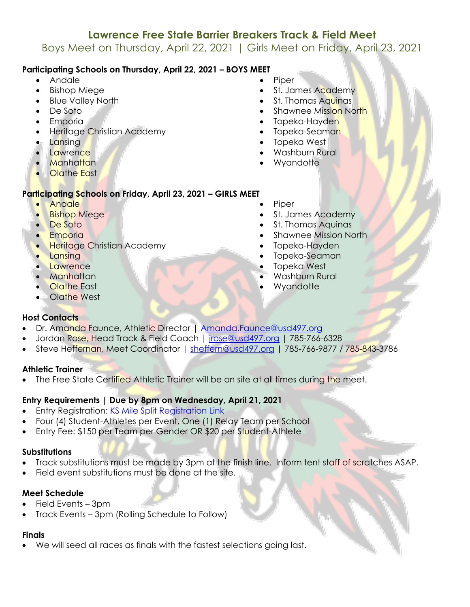# **Lawrence Free State Barrier Breakers Track & Field Meet**

Boys Meet on Thursday, April 22, 2021 | Girls Meet on Friday, April 23, 2021

# **Participating Schools on Thursday, April 22, 2021 – BOYS MEET**

- Andale
- Bishop Miege
- Blue Valley North
- De Soto
- Emporia
- Heritage Christian Academy
- Lansing
- **Lawrence**
- **Manhattan**
- **Olathe East**

## **Participating Schools on Friday, April 23, 2021 – GIRLS MEET**

- Andale
- **Bishop Miege**
- De Soto
- **Emporia**
- **Heritage Christian Academy**
- **Lansing**
- Lawrence
- Manhattan
- Olathe East
- Olathe West
- **Host Contacts**
- Dr. Amanda Faunce, Athletic Director | Amanda.Faunce@usd497.org
- Jordan Rose, Head Track & Field Coach | jrose@usd497.org | 785-766-6328
- Steve Heffernan, Meet Coordinator | sheffern@usd497.org | 785-766-9877 / 785-843-3786

#### **Athletic Trainer**

The Free State Certified Athletic Trainer will be on site at all times during the meet.

### **Entry Requirements | Due by 8pm on Wednesday, April 21, 2021**

- Entry Registration: KS Mile Split Registration Link
- Four (4) Student-Athletes per Event, One (1) Relay Team per School
- Entry Fee: \$150 per Team per Gender OR \$20 per Student-Athlete

## **Substitutions**

- Track substitutions must be made by 3pm at the finish line. Inform tent staff of scratches ASAP.
- Field event substitutions must be done at the site.

# **Meet Schedule**

- Field Events 3pm
- Track Events 3pm (Rolling Schedule to Follow)

# **Finals**

• We will seed all races as finals with the fastest selections going last.

- **Piper**
- St. James Academy
- St. Thomas Aquinas
- **Shawnee Mission North**
- Topeka-Hayden
- Topeka-Seaman
- Topeka West
- Washburn Rural
- **Wyandotte**
- 
- **Piper**
- St. James Academy
- St. Thomas Aquinas
- Shawnee Mission North
- Topeka-Hayden
- Topeka-Seaman
- Topeka West
- Washburn Rural
- **Wyandotte**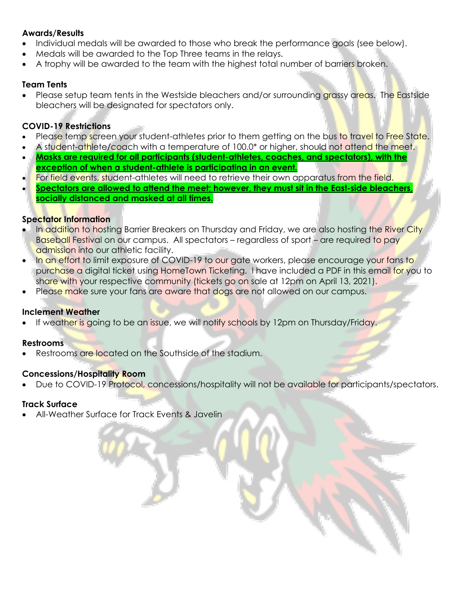#### **Awards/Results**

- Individual medals will be awarded to those who break the performance goals (see below).
- Medals will be awarded to the Top Three teams in the relays.
- A trophy will be awarded to the team with the highest total number of barriers broken.

#### **Team Tents**

• Please setup team tents in the Westside bleachers and/or surrounding grassy areas. The Eastside bleachers will be designated for spectators only.

### **COVID-19 Restrictions**

- Please temp screen your student-athletes prior to them getting on the bus to travel to Free State.
- A student-athlete/coach with a temperature of 100.0<sup>\*</sup> or higher, should not attend the meet.
- **Masks are required for all participants (student-athletes, coaches, and spectators), with the exception of when a student-athlete is participating in an event.**
- For field events, student-athletes will need to retrieve their own apparatus from the field.
- **Spectators are allowed to attend the meet; however, they must sit in the East-side bleachers, socially distanced and masked at all times.**

### **Spectator Information**

- In addition to hosting Barrier Breakers on Thursday and Friday, we are also hosting the River City Baseball Festival on our campus. All spectators – regardless of sport – are required to pay admission into our athletic facility.
- In an effort to limit exposure of COVID-19 to our gate workers, please encourage your fans to purchase a digital ticket using HomeTown Ticketing. I have included a PDF in this email for you to share with your respective community (tickets go on sale at 12pm on April 13, 2021).
- Please make sure your fans are aware that dogs are not allowed on our campus.

### **Inclement Weather**

If weather is going to be an issue, we will notify schools by 12pm on Thursday/Friday.

#### **Restrooms**

Restrooms are located on the Southside of the stadium.

#### **Concessions/Hospitality Room**

• Due to COVID-19 Protocol, concessions/hospitality will not be available for participants/spectators.

### **Track Surface**

• All-Weather Surface for Track Events & Javelin